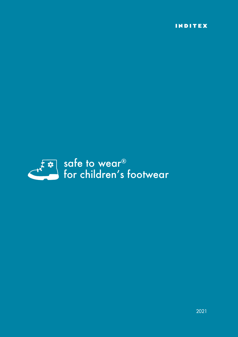INDITEX

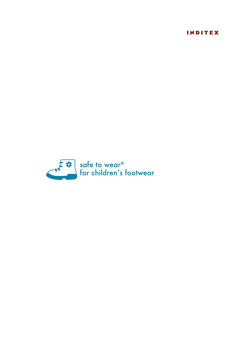INDITEX

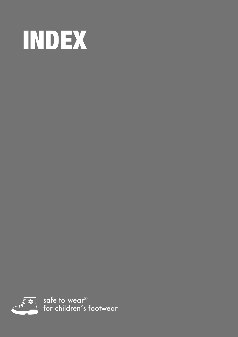<span id="page-4-0"></span>



safe to wear® for children's footwear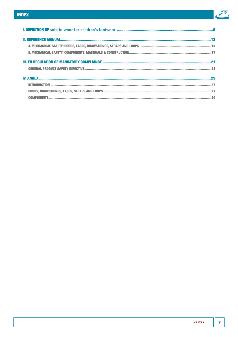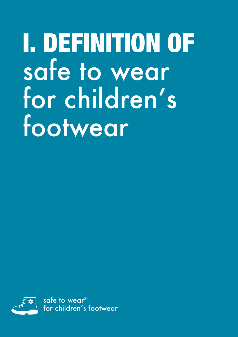# <span id="page-8-1"></span><span id="page-8-0"></span>I. DEFINITION OF safe to wear for children's footwear

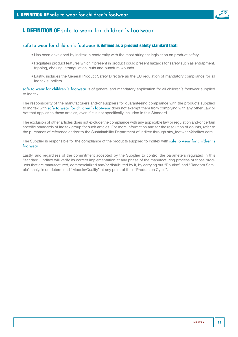

# I. DEFINITION OF safe to wear for children´s footwear

## safe to wear for children's footwear is defined as a product safety standard that:

- Has been developed by Inditex in conformity with the most stringent legislation on product safety.
- Regulates product features which if present in product could present hazards for safety such as entrapment, tripping, choking, strangulation, cuts and puncture wounds.
- Lastly, includes the General Product Safety Directive as the EU regulation of mandatory compliance for all Inditex suppliers.

safe to wear for children's footwear is of general and mandatory application for all children's footwear supplied to Inditex.

The responsibility of the manufacturers and/or suppliers for guaranteeing compliance with the products supplied to Inditex with safe to wear for children's footwear does not exempt them from complying with any other Law or Act that applies to these articles, even if it is not specifically included in this Standard.

The exclusion of other articles does not exclude the compliance with any applicable law or regulation and/or certain specific standards of Inditex group for such articles. For more information and for the resolution of doubts, refer to the purchaser of reference and/or to the Sustainability Department of Inditex through stw\_footwear@inditex.com.

The Supplier is responsible for the compliance of the products supplied to Inditex with safe to wear for children's footwear.

Lastly, and regardless of the commitment accepted by the Supplier to control the parameters regulated in this Standard , Inditex will verify its correct implementation at any phase of the manufacturing process of those products that are manufactured, commercialized and/or distributed by it, by carrying out "Routine" and "Random Sample" analysis on determined "Models/Quality" at any point of their "Production Cycle".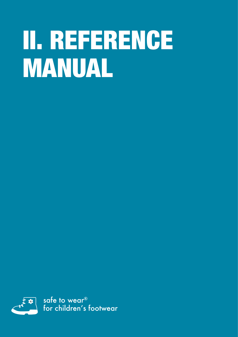# <span id="page-12-1"></span><span id="page-12-0"></span>II. REFERENCE MANUAL

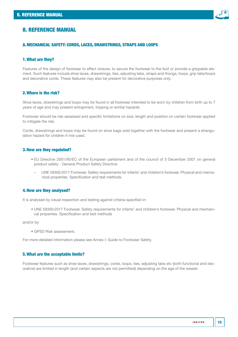

# <span id="page-14-0"></span>II. REFERENCE MANUAL

### A.MECHANICAL SAFETY: CORDS, LACES, DRAWSTRINGS, STRAPS AND LOOPS

### 1.What are they?

Features of the design of footwear to effect closure, to secure the footwear to the foot or provide a grippable element. Such features include shoe laces, drawstrings, ties, adjusting tabs, straps and thongs, loops, grip tabs/loops and decorative cords. These features may also be present for decorative purposes only.

#### 2.Where is the risk?

Shoe laces, drawstrings and loops may be found in all footwear intended to be worn by children from birth up to 7 years of age and may present entrapment, tripping or similar hazards.

Footwear should be risk assessed and specific limitations on size, length and position on certain footwear applied to mitigate the risk.

Cords, drawstrings and loops may be found on shoe bags sold together with the footwear and present a strangulation hazard for children if mis-used.

#### 3.How are they regulated?

- EU Directive 2001/95/EC of the European parliament and of the council of 3 December 2001 on general product safety - General Product Safety Directive
	- UNE 59300:2017 Footwear. Safety requirements for infants' and children's footwear. Physical and mechanical properties. Specification and test methods.

#### 4.How are they analysed?

It is analysed by visual inspection and testing against criteria specified in:

• UNE 59300:2017 Footwear. Safety requirements for infants' and children's footwear. Physical and mechanical properties. Specification and test methods

and/or by

• GPSD Risk assessment.

For more detailed information please see Annex I: Guide to Footwear Safety.

#### 5.What are the acceptable limits?

Footwear features such as shoe laces, drawstrings, cords, loops, ties, adjusting tabs etc (both functional and decorative) are limited in length (and certain aspects are not permitted) depending on the age of the wearer: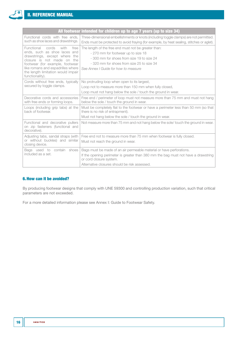F

| All footwear intended for children up to age 7 years (up to size 34)                                                                                                                                                                                                |                                                                                                                                                                                                                                        |  |
|---------------------------------------------------------------------------------------------------------------------------------------------------------------------------------------------------------------------------------------------------------------------|----------------------------------------------------------------------------------------------------------------------------------------------------------------------------------------------------------------------------------------|--|
| Functional cords with free ends.<br>such as shoe laces and drawstrings.                                                                                                                                                                                             | Three-dimensional embellishments or knots (including toggle clamps) are not permitted.<br>Ends must be protected to avoid fraying (for example, by heat sealing, stitches or aglet).                                                   |  |
| cords<br>Functional<br>with<br>free<br>ends, such as shoe laces and<br>drawstrings, except where the<br>closure is not made on the<br>footwear (for example, footwear<br>like romans and espadrilles where<br>the length limitation would impair<br>functionality). | The length of the free end must not be greater than:<br>- 270 mm for footwear up to size 18<br>- 300 mm for shoes from size 19 to size 24<br>- 320 mm for shoes from size 25 to size 34<br>See Annex I Guide for how to measure        |  |
| Cords without free ends, typically<br>secured by toggle clamps.                                                                                                                                                                                                     | No protruding loop when open to its largest,<br>Loop not to measure more than 150 mm when fully closed,<br>Loop must not hang below the sole / touch the ground in wear.                                                               |  |
| Decorative cords and accessories<br>with free ends or forming loops.                                                                                                                                                                                                | Free end / perimeter of loop must not measure more than 75 mm and must not hang<br>below the sole / touch the ground in wear.                                                                                                          |  |
| Loops (including grip tabs) at the<br>back of footwear.                                                                                                                                                                                                             | Must be completely flat to the footwear or have a perimeter less than 50 mm (so that<br>there is no risk of entrapment).<br>Must not hang below the sole / touch the ground in wear.                                                   |  |
| Functional and decorative pullers<br>on zip fasteners (functional and<br>decorative).                                                                                                                                                                               | Not measure more than 75 mm and not hang below the sole/ touch the ground in wear.                                                                                                                                                     |  |
| Adjusting tabs, sandal straps (with<br>or without buckles) and similar<br>closing device.                                                                                                                                                                           | Free end not to measure more than 75 mm when footwear is fully closed.<br>Must not reach the ground in wear.                                                                                                                           |  |
| Bags used to contain shoes<br>included as a set.                                                                                                                                                                                                                    | Bags must be made of an air permeable material or have perforations.<br>If the opening perimeter is greater than 380 mm the bag must not have a drawstring<br>or cord closure system.<br>Alternative closures should be risk assessed. |  |

# 6.How can it be avoided?

By producing footwear designs that comply with UNE 59300 and controlling production variation, such that critical parameters are not exceeded.

For a more detailed information please see Annex I: Guide to Footwear Safety.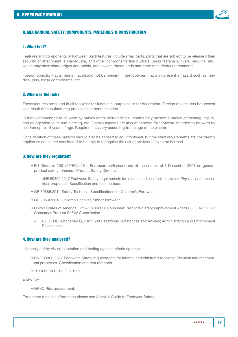

#### <span id="page-16-0"></span>B.MECHANICAL SAFETY: COMPONENTS, MATERIALS & CONSTRUCTION

# 1.What is it?

Features and components of footwear. Such features include small parts, parts that are subject to be release if their security of attachment is inadequate, and other components like buttons, press fasteners, rivets, sequins, etc., which may have sharp edges and points, and sewing thread ends and other manufacturing remnants.

Foreign objects, that is, items that should not be present in the footwear that may present a hazard such as needles, pins, loose components, etc.

# 2.Where is the risk?

These features are found in all footwear for functional purposes or for decoration. Foreign objects can be present as a result of manufacturing processes or contamination.

In footwear intended to be worn by babies or children under 36 months they present a hazard of choking, aspiration or ingestion, cuts and piercing, etc. Certain aspects are also of concern for footwear intended to be worn by children up to 14 years of age. Requirements vary according to the age of the wearer.

Consideration of these hazards should also be applied to adult footwear, but the strict requirements are not directly applied as adults are considered to be able to recognise the risk or are less likely to be harmed.

#### 3.How are they regulated?

- EU Directive 2001/95/EC of the European parliament and of the council of 3 December 2001 on general product safety - General Product Safety Directive
	- UNE 59300:2017 Footwear. Safety requirements for infants' and children's footwear. Physical and mechanical properties. Specification and test methods
- GB 30585:2014 Safety Technical Specifications for Children's Footwear
- GB 20536:2010 Children's canvas rubber footwear
- United States of America CPSA: 16 CFR II Consumer Products Safety Improvement Act 2008. CHAPTER II Consumer Product Safety Commission
- 16 CFR II, Subchapter C, Part 1500 Hazardous Substances and Articles; Administration and Enforcement **Requlations**

#### 4.How are they analysed?

It is analysed by visual inspection and testing against criteria specified in:

- UNE 59300:2017 Footwear. Safety requirements for infants' and children's footwear. Physical and mechanical properties. Specification and test methods
- 16 CFR 1500, 16 CFR 1501

and/or by

• GPSD Risk assessment.

For a more detailed information please see Annex I: Guide to Footwear Safety.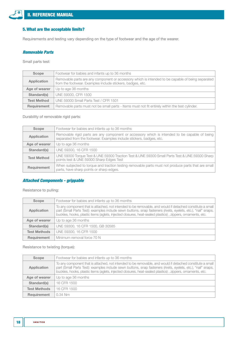

# 5.What are the acceptable limits?

Requirements and testing vary depending on the type of footwear and the age of the wearer.

# *Removable Parts*

Small parts test:

| <b>Scope</b>       | Footwear for babies and infants up to 36 months                                                                                                                 |
|--------------------|-----------------------------------------------------------------------------------------------------------------------------------------------------------------|
| Application        | Removable parts are any component or accessory which is intended to be capable of being separated<br>from the footwear. Examples include stickers, badges, etc. |
| Age of wearer      | Up to age 36 months                                                                                                                                             |
| Standard(s)        | UNE 59300, CFR 1500                                                                                                                                             |
| <b>Test Method</b> | UNE 59300 Small Parts Test / CFR 1501                                                                                                                           |
| Requirement        | Removable parts must not be small parts - Items must not fit entirely within the test cylinder.                                                                 |

# Durability of removable rigid parts:

| <b>Scope</b>       | Footwear for babies and infants up to 36 months                                                                                                                       |
|--------------------|-----------------------------------------------------------------------------------------------------------------------------------------------------------------------|
| <b>Application</b> | Removable rigid parts are any component or accessory which is intended to be capable of being<br>separated from the footwear. Examples include stickers, badges, etc. |
| Age of wearer      | Up to age 36 months                                                                                                                                                   |
| Standard(s)        | UNE 59300, 16 CFR 1500                                                                                                                                                |
| <b>Test Method</b> | UNE 59300 Torque Test & UNE 59300 Traction Test & UNE 59300 Small Parts Test & UNE 59300 Sharp<br>points test & UNE 59300 Sharp Edges Test                            |
| Requirement        | When subjected to torque and traction testing removable parts must not produce parts that are small<br>parts, have sharp points or sharp edges.                       |

# *Attached Components - grippable*

Resistance to pulling:

| <b>Scope</b>        | Footwear for babies and infants up to 36 months                                                                                                                                                                                                                                                                                         |
|---------------------|-----------------------------------------------------------------------------------------------------------------------------------------------------------------------------------------------------------------------------------------------------------------------------------------------------------------------------------------|
| Application         | To any component that is attached, not intended to be removable, and would if detached constitute a small<br>part (Small Parts Test): examples include sewn buttons, snap fasteners (rivets, eyelets, etc.), "nail" snaps,<br>buckles, hooks, plastic items (aglets, injected closures, heat-sealed plastics), zippers, ornaments, etc. |
| Age of wearer       | Up to age 36 months                                                                                                                                                                                                                                                                                                                     |
| Standard(s)         | UNE 59300, 16 CFR 1500, GB 30585                                                                                                                                                                                                                                                                                                        |
| <b>Test Methods</b> | UNE 59300, 16 CFR 1500                                                                                                                                                                                                                                                                                                                  |
| <b>Requirement</b>  | Minimum removal force 70 N                                                                                                                                                                                                                                                                                                              |

Resistance to twisting (torque):

| Scope               | Footwear for babies and infants up to 36 months                                                                                                                                                                                                                                                                                         |
|---------------------|-----------------------------------------------------------------------------------------------------------------------------------------------------------------------------------------------------------------------------------------------------------------------------------------------------------------------------------------|
| Application         | To any component that is attached, not intended to be removable, and would if detached constitute a small<br>part (Small Parts Test): examples include sewn buttons, snap fasteners (rivets, eyelets, etc.), "nail" snaps,<br>buckles, hooks, plastic items (aglets, injected closures, heat-sealed plastics), zippers, ornaments, etc. |
| Age of wearer       | Up to age 36 months                                                                                                                                                                                                                                                                                                                     |
| Standard(s)         | 16 CFR 1500                                                                                                                                                                                                                                                                                                                             |
| <b>Test Methods</b> | 16 CFR 1500                                                                                                                                                                                                                                                                                                                             |
| <b>Requirement</b>  | $0.34$ Nm                                                                                                                                                                                                                                                                                                                               |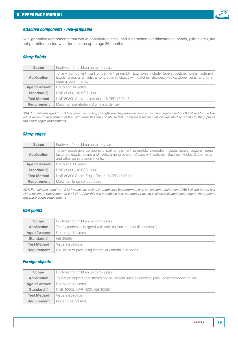

#### *Attached components - non-grippable*

Non-grippable components that would constitute a small part if detached (eg rhinestones, beads, glitter, etc.), are not permitted on footwear for children up to age 36 months.

### *Sharp Points*

| Scope              | Footwear for children up to 14 years                                                                                                                                                                                           |
|--------------------|--------------------------------------------------------------------------------------------------------------------------------------------------------------------------------------------------------------------------------|
| Application        | To any component, part or garment assembly. Examples include: labels, buttons, press fasteners<br>(studs, snaps and rivets, among others), clasps with catches, Buckles, Hooks, Zipper parts, and other<br>general adornments. |
| Age of wearer      | Up to age 14 years                                                                                                                                                                                                             |
| Standard(s)        | UNE 59300, 16 CFR 1500                                                                                                                                                                                                         |
| <b>Test Method</b> | UNE 59300 Sharp points test, 16 CFR 1500.48                                                                                                                                                                                    |
| <b>Requirement</b> | Maximum penetration, 0.5 mm under test.                                                                                                                                                                                        |

USA: For children aged from 3 to 7 years old, pulling strength shall be performed with a minimum requirement of 66.8 N and torque test with a minimum requirement of 0.45 Nm. After this use and abuse test, component tested shall be evaluated according to sharp points *and sharp edges requirements.*

# *Sharp edges*

| Scope              | Footwear for children up to 14 years                                                                                                                                                                                                      |
|--------------------|-------------------------------------------------------------------------------------------------------------------------------------------------------------------------------------------------------------------------------------------|
| <b>Application</b> | To any accessible component, part or garment assembly. examples include: labels, buttons, press<br>fasteners (studs, snaps and rivets, among others), Clasps with catches, Buckles, Hooks, Zipper parts,<br>and other general adornments. |
| Age of wearer      | Up to age 14 years                                                                                                                                                                                                                        |
| Standard(s)        | UNE 59300, 16 CFR 1500                                                                                                                                                                                                                    |
| <b>Test Method</b> | UNE 59300 Sharp Edges Test / 16 CFR 1500.49                                                                                                                                                                                               |
| Requirement        | Maximum length of cut, 50%.                                                                                                                                                                                                               |

*USA: For children aged from 3 to 7 years old, pulling strength shall be performed with a minimum requirement of 66.8 N and torque test with a minimum requirement of 0.45 Nm. After this use and abuse test, component tested shall be evaluated according to sharp points and sharp edges requirements.*

# *Nail points*

| <b>Scope</b>       | Footwear for children up to 14 years                                  |
|--------------------|-----------------------------------------------------------------------|
| Application        | To any footwear designed with nails as fixation point (if applicable) |
| Age of wearer      | Up to age 14 years                                                    |
| Standard(s)        | GB 30585                                                              |
| <b>Test Method</b> | Visual inspection                                                     |
| <b>Requirement</b> | No visible or protruding internal or external nail points.            |

# *Foreign objects*

| <b>Scope</b>       | Footwear for children up to 14 years                                                        |
|--------------------|---------------------------------------------------------------------------------------------|
| Application        | To foreign objects that should not be present such as needles, pins, loose components, etc. |
| Age of wearer      | Up to age 14 years                                                                          |
| <b>Standard(s)</b> | UNE 40902, CFR 1500, GB 30585                                                               |
| <b>Test Method</b> | Visual inspection                                                                           |
| <b>Requirement</b> | None to be present.                                                                         |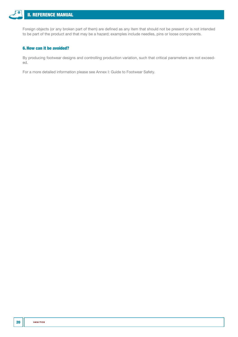

Foreign objects (or any broken part of them) are defined as any item that should not be present or is not intended to be part of the product and that may be a hazard; examples include needles, pins or loose components.

# 6.How can it be avoided?

By producing footwear designs and controlling production variation, such that critical parameters are not exceeded.

For a more detailed information please see Annex I: Guide to Footwear Safety.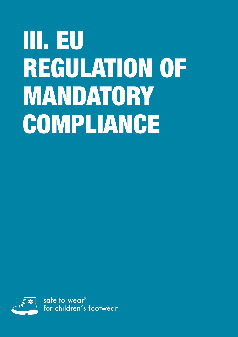# <span id="page-20-1"></span><span id="page-20-0"></span>III. EU REGULATION OF MANDATORY COMPLIANCE

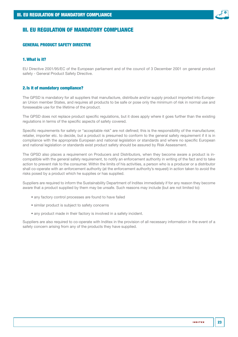

# <span id="page-22-0"></span>III. EU REGULATION OF MANDATORY COMPLIANCE

### GENERAL PRODUCT SAFETY DIRECTIVE

# 1.What is it?

EU Directive 2001/95/EC of the European parliament and of the council of 3 December 2001 on general product safety - General Product Safety Directive.

#### 2.Is it of mandatory compliance?

The GPSD is mandatory for all suppliers that manufacture, distribute and/or supply product imported into European Union member States, and requires all products to be safe or pose only the minimum of risk in normal use and foreseeable use for the lifetime of the product.

The GPSD does not replace product specific regulations, but it does apply where it goes further than the existing regulations in terms of the specific aspects of safety covered.

Specific requirements for safety or "acceptable risk" are not defined; this is the responsibility of the manufacturer, retailer, importer etc. to decide, but a product is presumed to conform to the general safety requirement if it is in compliance with the appropriate European and national legislation or standards and where no specific European and national legislation or standards exist product safety should be assured by Risk Assessment.

The GPSD also places a requirement on Producers and Distributors, when they become aware a product is incompatible with the general safety requirement, to notify an enforcement authority in writing of the fact and to take action to prevent risk to the consumer. Within the limits of his activities, a person who is a producer or a distributor shall co-operate with an enforcement authority (at the enforcement authority's request) in action taken to avoid the risks posed by a product which he supplies or has supplied.

Suppliers are required to inform the Sustainability Department of Inditex immediately if for any reason they become aware that a product supplied by them may be unsafe. Such reasons may include (but are not limited to):

- any factory control processes are found to have failed
- similar product is subject to safety concerns
- any product made in their factory is involved in a safety incident.

Suppliers are also required to co-operate with Inditex in the provision of all necessary information in the event of a safety concern arising from any of the products they have supplied.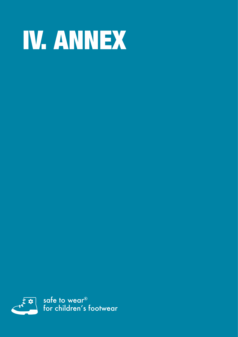# <span id="page-24-1"></span><span id="page-24-0"></span>IV. ANNEX

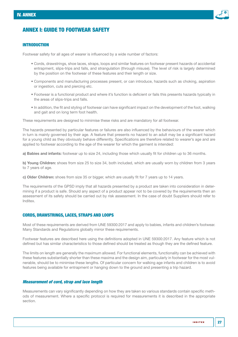

# <span id="page-26-1"></span><span id="page-26-0"></span>ANNEX I: GUIDE TO FOOTWEAR SAFETY

# INTRODUCTION

Footwear safety for all ages of wearer is influenced by a wide number of factors:

- Cords, drawstrings, shoe laces, straps, loops and similar features on footwear present hazards of accidental entrapment, slips-trips and falls, and strangulation (through misuse). The level of risk is largely determined by the position on the footwear of these features and their length or size.
- Components and manufacturing processes present, or can introduce, hazards such as choking, aspiration or ingestion, cuts and piercing etc.
- Footwear is a functional product and where it's function is deficient or fails this presents hazards typically in the areas of slips-trips and falls.
- In addition, the fit and styling of footwear can have significant impact on the development of the foot, walking and gait and on long term foot health.

These requirements are designed to minimise these risks and are mandatory for all footwear.

The hazards presented by particular features or failures are also influenced by the behaviours of the wearer which in turn is mainly governed by their age. A feature that presents no hazard to an adult may be a significant hazard for a young child as they obviously behave differently. Specifications are therefore related to wearer's age and are applied to footwear according to the age of the wearer for which the garment is intended:

a) Babies and infants: footwear up to size 24, including those which usually fit for children up to 36 months.

b) Young Children: shoes from size 25 to size 34, both included, which are usually worn by children from 3 years to 7 years of age.

c) Older Children: shoes from size 35 or bigger, which are usually fit for 7 years up to 14 years.

The requirements of the GPSD imply that all hazards presented by a product are taken into consideration in determining if a product is safe. Should any aspect of a product appear not to be covered by the requirements then an assessment of its safety should be carried out by risk assessment. In the case of doubt Suppliers should refer to Inditex.

#### CORDS, DRAWSTRINGS, LACES, STRAPS AND LOOPS

Most of these requirements are derived from UNE 59300:2017 and apply to babies, infants and children's footwear. Many Standards and Regulations globally mirror these requirements.

Footwear features are described here using the definitions adopted in UNE 59300:2017. Any feature which is not defined but has similar characteristics to those defined should be treated as though they are the defined feature.

The limits on length are generally the maximum allowed. For functional elements, functionality can be achieved with these features substantially shorter than these maxima and the design aim, particularly in footwear for the most vulnerable, should be to minimise these lengths. Of particular concern for walking age infants and children is to avoid features being available for entrapment or hanging down to the ground and presenting a trip hazard.

#### *Measurement of cord, strap and lace length*

Measurements can vary significantly depending on how they are taken so various standards contain specific methods of measurement. Where a specific protocol is required for measurements it is described in the appropriate section.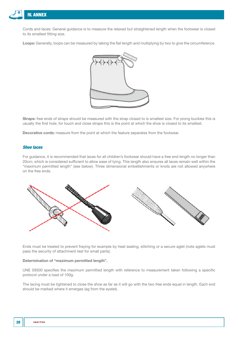

Cords and laces: General guidance is to measure the relaxed but straightened length when the footwear is closed to its smallest fitting size.

Loops: Generally, loops can be measured by taking the flat length and multiplying by two to give the circumference.



Straps: free ends of straps should be measured with the strap closed to is smallest size. For prong buckles this is usually the first hole; for touch and close straps this is the point at which the shoe is closed to its smallest.

Decorative cords: measure from the point at which the feature separates from the footwear.

#### *Shoe laces*

For guidance, it is recommended that laces for all children's footwear should have a free end length no longer than 20cm; which is considered sufficient to allow ease of tying. This length also ensures all laces remain well within the "maximum permitted length" (see below). Three dimensional embellishments or knots are not allowed anywhere on the free ends.



Ends must be treated to prevent fraying for example by heat sealing, stitching or a secure aglet (note aglets must pass the security of attachment test for small parts).

#### Determination of "maximum permitted length".

UNE 59300 specifies the maximum permitted length with reference to measurement taken following a specific protocol under a load of 100g.

The lacing must be tightened to close the shoe as far as it will go with the two free ends equal in length. Each end should be marked where it emerges (eg from the eyelet).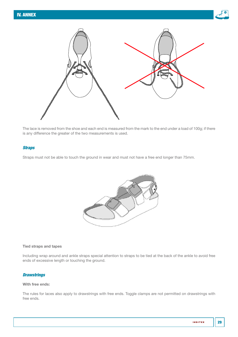



The lace is removed from the shoe and each end is measured from the mark to the end under a load of 100g; if there is any difference the greater of the two measurements is used.

# *Straps*

Straps must not be able to touch the ground in wear and must not have a free end longer than 75mm.



#### Tied straps and tapes

Including wrap around and ankle straps special attention to straps to be tied at the back of the ankle to avoid free ends of excessive length or touching the ground.

# *Drawstrings*

#### With free ends:

The rules for laces also apply to drawstrings with free ends. Toggle clamps are not permitted on drawstrings with free ends.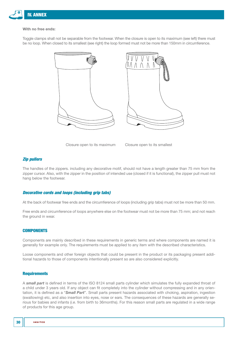<span id="page-29-0"></span>

#### With no free ends:

Toggle clamps shall not be separable from the footwear. When the closure is open to its maximum (see left) there must be no loop. When closed to its smallest (see right) the loop formed must not be more than 150mm in circumference.





Closure open to its maximum Closure open to its smallest

#### *Zip pullers*

The handles of the zippers. including any decorative motif, should not have a length greater than 75 mm from the zipper cursor. Also, with the zipper in the position of intended use (closed if it is functional), the zipper pull must not hang below the footwear.

#### *Decorative cords and loops (including grip tabs)*

At the back of footwear free ends and the circumference of loops (including grip tabs) must not be more than 50 mm.

Free ends and circumference of loops anywhere else on the footwear must not be more than 75 mm; and not reach the ground in wear.

# **COMPONENTS**

Components are mainly described in these requirements in generic terms and where components are named it is generally for example only. The requirements must be applied to any item with the described characteristics.

Loose components and other foreign objects that could be present in the product or its packaging present additional hazards to those of components intentionally present so are also considered explicitly.

#### **Requirements**

A *small part* is defined in terms of the ISO 8124 small parts cylinder which simulates the fully expanded throat of a child under 3 years old. If any object can fit completely into the cylinder without compressing and in any orientation, it is defined as a "*Small Part*". Small parts present hazards associated with choking, aspiration, ingestion (swallowing) etc, and also insertion into eyes, nose or ears. The consequences of these hazards are generally serious for babies and infants (*i.e.* from birth to 36months). For this reason small parts are regulated in a wide range of products for this age group.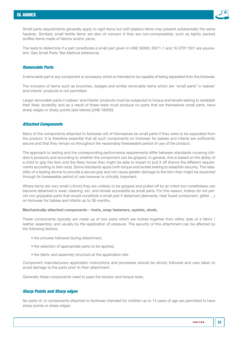

Small parts requirements generally apply to rigid items but soft plastics items may present substantially the same hazards. Similarly small textile items are also of concern if they are non-compressible, such as tightly packed stuffed items made of fabrics and/or yarns.

The tests to determine if a part constitutes a small part given in UNE 59300, EN71-1 and 16 CFR 1501 are equivalent. See Small Parts Test Method (reference).

## *Removable Parts*

A removable part is any component or accessory which is intended to be capable of being separated from the footwear.

The inclusion of items such as brooches, badges and similar removable items which are "small parts" in babies' and infants' products is not permitted.

Larger removable parts in babies' and infants' products must be subjected to torque and tensile testing to establish their likely durability and as a result of these tests must produce no parts that are themselves small parts, have sharp edges or sharp points (see below) [UNE 59300].

#### *Attached Components*

Many of the components attached to footwear will of themselves be small parts if they were to be separated from the product. It is therefore essential that all such components on footwear for babies and infants are sufficiently secure and that they remain so throughout the reasonably foreseeable period of use of the product.

The approach to testing and the corresponding performance requirements differ between standards covering children's products and according to whether the component can be gripped. In general, this is based on the ability of a child to grip the item and the likely forces they might be able to impart to pull it off (hence the different requirements according to item size). Some standards apply both torque and tensile testing to establish security. The reliability of a testing device to provide a secure grip and not cause greater damage to the item than might be expected through its foreseeable period of use however is critically important.

Where items are very small (≤3mm) they are unlikely to be gripped and pulled off by an infant but nonetheless can become detached in wear, cleaning, etc. and remain accessible as small parts. For this reason, Inditex do not permit non grippable parts that would constitute a small part if detached (diamante, heat fused component, glitter …) on footwear for babies and infants up to 36 months.

#### Mechanically attached components - rivets, snap fasteners, eyelets, studs.

These components typically are made up of two parts which are locked together from either side of a fabric / leather assembly; and usually by the application of pressure. The security of this attachment can be affected by the following factors:

- the process followed during attachment,
- the selection of appropriate parts to be applied,
- the fabric and assembly structure at the application site.

Component manufacturers application instructions and processes should be strictly followed and care taken to avoid damage to the parts prior to their attachment.

Generally these components need to pass the tension and torque tests.

### *Sharp Points and Sharp edges*

No parts of, or components attached to footwear intended for children up to 14 years of age are permitted to have sharp points or sharp edges.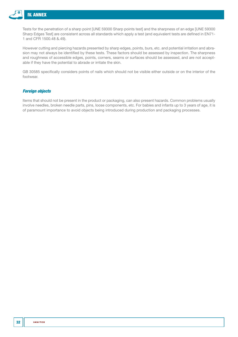

Tests for the penetration of a sharp point [UNE 59300 Sharp points test] and the sharpness of an edge [UNE 59300 Sharp Edges Test] are consistent across all standards which apply a test (and equivalent tests are defined in EN71- 1 and CFR 1500.48 &.49).

However cutting and piercing hazards presented by sharp edges, points, burs, etc. and potential irritation and abrasion may not always be identified by these tests. These factors should be assessed by inspection. The sharpness and roughness of accessible edges, points, corners, seams or surfaces should be assessed, and are not acceptable if they have the potential to abrade or irritate the skin.

GB 30585 specifically considers points of nails which should not be visible either outside or on the interior of the footwear.

# *Foreign objects*

Items that should not be present in the product or packaging, can also present hazards. Common problems usually involve needles, broken needle parts, pins, loose components, etc. For babies and infants up to 3 years of age, it is of paramount importance to avoid objects being introduced during production and packaging processes.